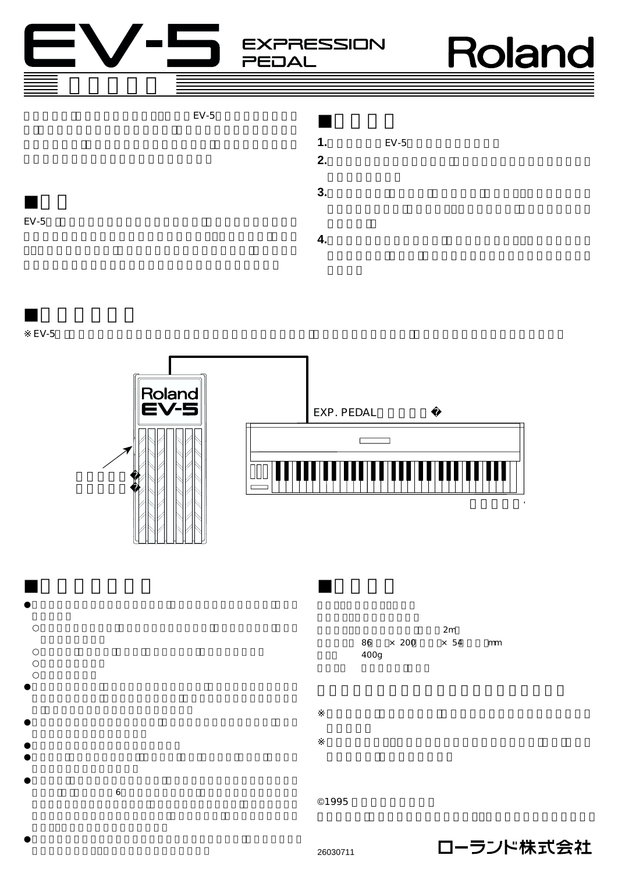**EXPRESSION PEDAL** 

Roland



取扱説明書





2m 86 × 200 × 54 mm 重量: 400g